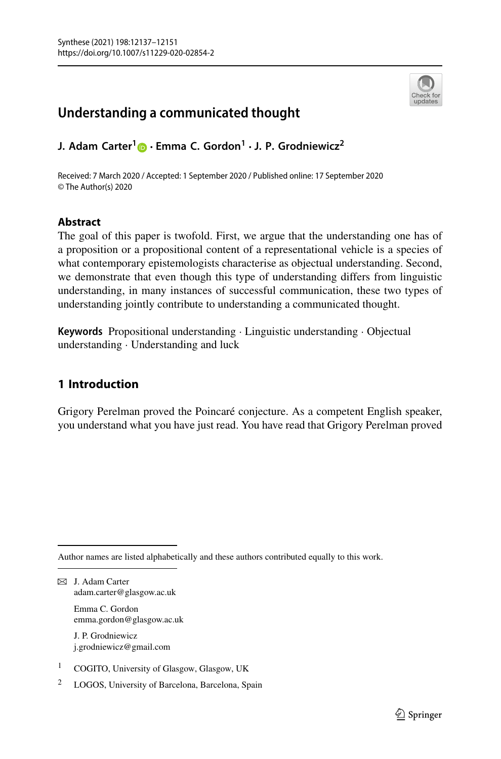

# **Understanding a communicated thought**

**J. Adam Carter[1](http://orcid.org/0000-0002-1222-8331) · Emma C. Gordon<sup>1</sup> · J. P. Grodniewicz<sup>2</sup>**

Received: 7 March 2020 / Accepted: 1 September 2020 / Published online: 17 September 2020 © The Author(s) 2020

## **Abstract**

The goal of this paper is twofold. First, we argue that the understanding one has of a proposition or a propositional content of a representational vehicle is a species of what contemporary epistemologists characterise as objectual understanding. Second, we demonstrate that even though this type of understanding differs from linguistic understanding, in many instances of successful communication, these two types of understanding jointly contribute to understanding a communicated thought.

**Keywords** Propositional understanding · Linguistic understanding · Objectual understanding · Understanding and luck

# **1 Introduction**

Grigory Perelman proved the Poincaré conjecture. As a competent English speaker, you understand what you have just read. You have read that Grigory Perelman proved

Author names are listed alphabetically and these authors contributed equally to this work.

B J. Adam Carter adam.carter@glasgow.ac.uk

> Emma C. Gordon emma.gordon@glasgow.ac.uk

J. P. Grodniewicz j.grodniewicz@gmail.com

- <sup>1</sup> COGITO, University of Glasgow, Glasgow, UK
- <sup>2</sup> LOGOS, University of Barcelona, Barcelona, Spain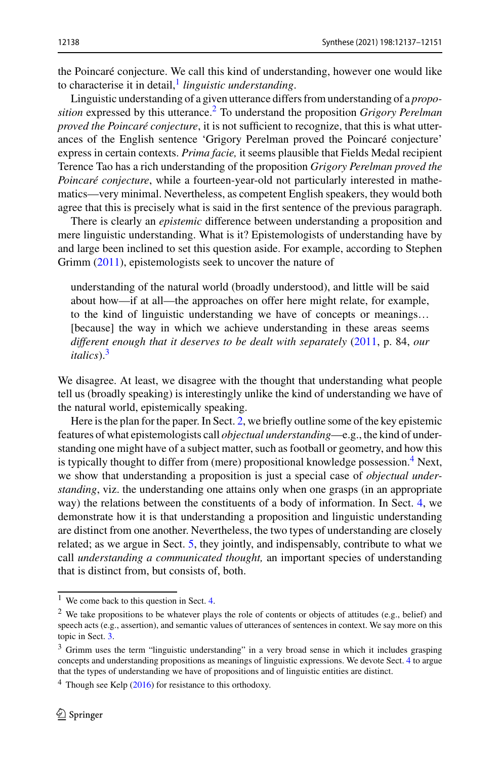the Poincaré conjecture. We call this kind of understanding, however one would like to characterise it in detail,<sup>[1](#page-1-0)</sup> *linguistic understanding*.

Linguistic understanding of a given utterance differs from understanding of a *proposition* expressed by this utterance[.2](#page-1-1) To understand the proposition *Grigory Perelman proved the Poincaré conjecture*, it is not sufficient to recognize, that this is what utterances of the English sentence 'Grigory Perelman proved the Poincaré conjecture' express in certain contexts. *Prima facie,* it seems plausible that Fields Medal recipient Terence Tao has a rich understanding of the proposition *Grigory Perelman proved the Poincaré conjecture*, while a fourteen-year-old not particularly interested in mathematics—very minimal. Nevertheless, as competent English speakers, they would both agree that this is precisely what is said in the first sentence of the previous paragraph.

There is clearly an *epistemic* difference between understanding a proposition and mere linguistic understanding. What is it? Epistemologists of understanding have by and large been inclined to set this question aside. For example, according to Stephen Grimm [\(2011\)](#page-13-0), epistemologists seek to uncover the nature of

understanding of the natural world (broadly understood), and little will be said about how—if at all—the approaches on offer here might relate, for example, to the kind of linguistic understanding we have of concepts or meanings… [because] the way in which we achieve understanding in these areas seems *different enough that it deserves to be dealt with separately* [\(2011,](#page-13-0) p. 84, *our italics*).[3](#page-1-2)

We disagree. At least, we disagree with the thought that understanding what people tell us (broadly speaking) is interestingly unlike the kind of understanding we have of the natural world, epistemically speaking.

Here is the plan for the paper. In Sect. [2,](#page-2-0) we briefly outline some of the key epistemic features of what epistemologists call *objectual understanding*—e.g., the kind of understanding one might have of a subject matter, such as football or geometry, and how this is typically thought to differ from (mere) propositional knowledge possession.<sup>4</sup> Next, we show that understanding a proposition is just a special case of *objectual understanding*, viz. the understanding one attains only when one grasps (in an appropriate way) the relations between the constituents of a body of information. In Sect. [4,](#page-9-0) we demonstrate how it is that understanding a proposition and linguistic understanding are distinct from one another. Nevertheless, the two types of understanding are closely related; as we argue in Sect. [5,](#page-11-0) they jointly, and indispensably, contribute to what we call *understanding a communicated thought,* an important species of understanding that is distinct from, but consists of, both.

<span id="page-1-1"></span><span id="page-1-0"></span> $1$  We come back to this question in Sect. [4.](#page-9-0)

<sup>&</sup>lt;sup>2</sup> We take propositions to be whatever plays the role of contents or objects of attitudes (e.g., belief) and speech acts (e.g., assertion), and semantic values of utterances of sentences in context. We say more on this topic in Sect. [3.](#page-4-0)

<span id="page-1-2"></span><sup>3</sup> Grimm uses the term "linguistic understanding" in a very broad sense in which it includes grasping concepts and understanding propositions as meanings of linguistic expressions. We devote Sect. [4](#page-9-0) to argue that the types of understanding we have of propositions and of linguistic entities are distinct.

<span id="page-1-3"></span> $4$  Though see Kelp [\(2016\)](#page-14-0) for resistance to this orthodoxy.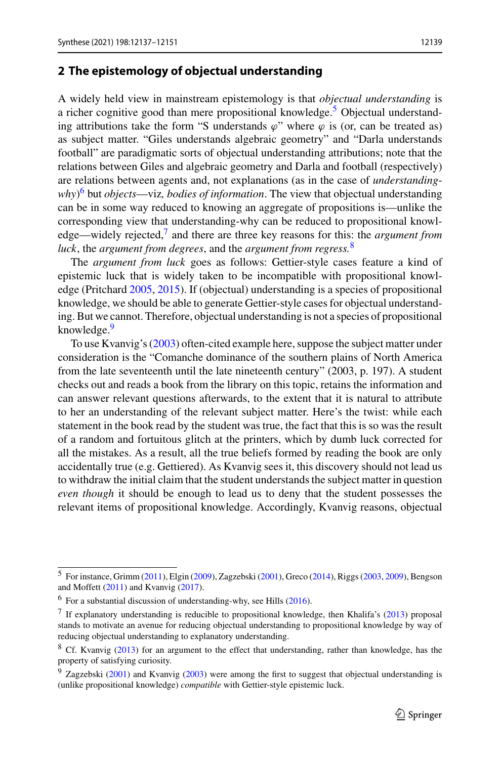## <span id="page-2-0"></span>**2 The epistemology of objectual understanding**

A widely held view in mainstream epistemology is that *objectual understanding* is a richer cognitive good than mere propositional knowledge.<sup>5</sup> Objectual understanding attributions take the form "S understands  $\varphi$ " where  $\varphi$  is (or, can be treated as) as subject matter. "Giles understands algebraic geometry" and "Darla understands football" are paradigmatic sorts of objectual understanding attributions; note that the relations between Giles and algebraic geometry and Darla and football (respectively) are relations between agents and, not explanations (as in the case of *understandingwhy*) [6](#page-2-2) but *objects*—viz*, bodies of information*. The view that objectual understanding can be in some way reduced to knowing an aggregate of propositions is—unlike the corresponding view that understanding-why can be reduced to propositional knowledge—widely rejected[,7](#page-2-3) and there are three key reasons for this: the *argument from luck*, the *argument from degrees*, and the *argument from regress.*[8](#page-2-4)

The *argument from luck* goes as follows: Gettier-style cases feature a kind of epistemic luck that is widely taken to be incompatible with propositional knowledge (Pritchard [2005,](#page-14-1) [2015\)](#page-14-2). If (objectual) understanding is a species of propositional knowledge, we should be able to generate Gettier-style cases for objectual understanding. But we cannot. Therefore, objectual understanding is not a species of propositional knowledge.<sup>9</sup>

To use Kvanvig's [\(2003\)](#page-14-3) often-cited example here, suppose the subject matter under consideration is the "Comanche dominance of the southern plains of North America from the late seventeenth until the late nineteenth century" (2003, p. 197). A student checks out and reads a book from the library on this topic, retains the information and can answer relevant questions afterwards, to the extent that it is natural to attribute to her an understanding of the relevant subject matter. Here's the twist: while each statement in the book read by the student was true, the fact that this is so was the result of a random and fortuitous glitch at the printers, which by dumb luck corrected for all the mistakes. As a result, all the true beliefs formed by reading the book are only accidentally true (e.g. Gettiered). As Kvanvig sees it, this discovery should not lead us to withdraw the initial claim that the student understands the subject matter in question *even though* it should be enough to lead us to deny that the student possesses the relevant items of propositional knowledge. Accordingly, Kvanvig reasons, objectual

<span id="page-2-2"></span><span id="page-2-1"></span><sup>5</sup> For instance, Grimm [\(2011\)](#page-13-0), Elgin [\(2009\)](#page-13-1), Zagzebski [\(2001\)](#page-14-4), Greco [\(2014\)](#page-13-2), Riggs [\(2003,](#page-14-5) [2009\)](#page-14-6), Bengson and Moffett [\(2011\)](#page-13-3) and Kvanvig [\(2017\)](#page-14-7).

<span id="page-2-3"></span> $6$  For a substantial discussion of understanding-why, see Hills  $(2016)$ .

<sup>7</sup> If explanatory understanding is reducible to propositional knowledge, then Khalifa's [\(2013\)](#page-14-9) proposal stands to motivate an avenue for reducing objectual understanding to propositional knowledge by way of reducing objectual understanding to explanatory understanding.

<span id="page-2-5"></span><span id="page-2-4"></span><sup>8</sup> Cf. Kvanvig [\(2013\)](#page-14-10) for an argument to the effect that understanding, rather than knowledge, has the property of satisfying curiosity.

<sup>&</sup>lt;sup>9</sup> Zagzebski [\(2001\)](#page-14-4) and Kvanvig [\(2003\)](#page-14-3) were among the first to suggest that objectual understanding is (unlike propositional knowledge) *compatible* with Gettier-style epistemic luck.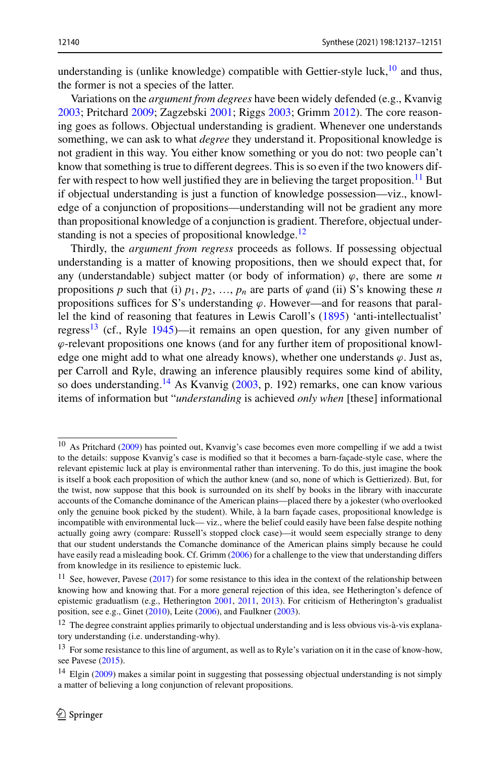understanding is (unlike knowledge) compatible with Gettier-style luck, $^{10}$  and thus, the former is not a species of the latter.

Variations on the *argument from degrees* have been widely defended (e.g., Kvanvig [2003;](#page-14-3) Pritchard [2009;](#page-14-11) Zagzebski [2001;](#page-14-4) Riggs [2003;](#page-14-5) Grimm [2012\)](#page-13-4). The core reasoning goes as follows. Objectual understanding is gradient. Whenever one understands something, we can ask to what *degree* they understand it. Propositional knowledge is not gradient in this way. You either know something or you do not: two people can't know that something is true to different degrees. This is so even if the two knowers differ with respect to how well justified they are in believing the target proposition.<sup>11</sup> But if objectual understanding is just a function of knowledge possession—viz., knowledge of a conjunction of propositions—understanding will not be gradient any more than propositional knowledge of a conjunction is gradient. Therefore, objectual understanding is not a species of propositional knowledge.<sup>12</sup>

Thirdly, the *argument from regress* proceeds as follows. If possessing objectual understanding is a matter of knowing propositions, then we should expect that, for any (understandable) subject matter (or body of information)  $\varphi$ , there are some *n* propositions *p* such that (i)  $p_1, p_2, ..., p_n$  are parts of  $\varphi$  and (ii) S's knowing these *n* propositions suffices for S's understanding  $\varphi$ . However—and for reasons that parallel the kind of reasoning that features in Lewis Caroll's [\(1895\)](#page-13-5) 'anti-intellectualist' regress<sup>13</sup> (cf., Ryle [1945\)](#page-14-12)—it remains an open question, for any given number of  $\varphi$ -relevant propositions one knows (and for any further item of propositional knowledge one might add to what one already knows), whether one understands  $\varphi$ . Just as, per Carroll and Ryle, drawing an inference plausibly requires some kind of ability, so does understanding.<sup>14</sup> As Kvanvig  $(2003, p. 192)$  $(2003, p. 192)$  remarks, one can know various items of information but "*understanding* is achieved *only when* [these] informational

<span id="page-3-0"></span> $10$  As Pritchard [\(2009\)](#page-14-11) has pointed out, Kvanvig's case becomes even more compelling if we add a twist to the details: suppose Kvanvig's case is modified so that it becomes a barn-façade-style case, where the relevant epistemic luck at play is environmental rather than intervening. To do this, just imagine the book is itself a book each proposition of which the author knew (and so, none of which is Gettierized). But, for the twist, now suppose that this book is surrounded on its shelf by books in the library with inaccurate accounts of the Comanche dominance of the American plains—placed there by a jokester (who overlooked only the genuine book picked by the student). While, à la barn façade cases, propositional knowledge is incompatible with environmental luck— viz., where the belief could easily have been false despite nothing actually going awry (compare: Russell's stopped clock case)—it would seem especially strange to deny that our student understands the Comanche dominance of the American plains simply because he could have easily read a misleading book. Cf. Grimm [\(2006\)](#page-13-6) for a challenge to the view that understanding differs from knowledge in its resilience to epistemic luck.

<span id="page-3-1"></span> $11$  See, however, Pavese [\(2017\)](#page-14-13) for some resistance to this idea in the context of the relationship between knowing how and knowing that. For a more general rejection of this idea, see Hetherington's defence of epistemic graduatlism (e.g., Hetherington [2001,](#page-13-7) [2011,](#page-13-8) [2013\)](#page-13-9). For criticism of Hetherington's gradualist position, see e.g., Ginet [\(2010\)](#page-13-10), Leite [\(2006\)](#page-14-14), and Faulkner [\(2003\)](#page-13-11).

<span id="page-3-3"></span><span id="page-3-2"></span> $12$  The degree constraint applies primarily to objectual understanding and is less obvious vis-à-vis explanatory understanding (i.e. understanding-why).

<span id="page-3-4"></span><sup>&</sup>lt;sup>13</sup> For some resistance to this line of argument, as well as to Ryle's variation on it in the case of know-how, see Pavese [\(2015\)](#page-14-15).

<sup>&</sup>lt;sup>14</sup> Elgin [\(2009\)](#page-13-1) makes a similar point in suggesting that possessing objectual understanding is not simply a matter of believing a long conjunction of relevant propositions.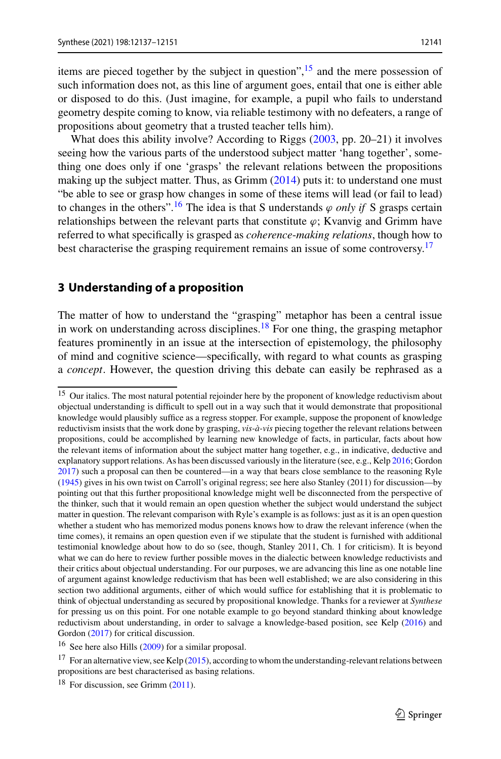items are pieced together by the subject in question", $\frac{15}{15}$  $\frac{15}{15}$  $\frac{15}{15}$  and the mere possession of such information does not, as this line of argument goes, entail that one is either able or disposed to do this. (Just imagine, for example, a pupil who fails to understand geometry despite coming to know, via reliable testimony with no defeaters, a range of propositions about geometry that a trusted teacher tells him).

What does this ability involve? According to Riggs [\(2003,](#page-14-5) pp. 20–21) it involves seeing how the various parts of the understood subject matter 'hang together', something one does only if one 'grasps' the relevant relations between the propositions making up the subject matter. Thus, as Grimm  $(2014)$  puts it: to understand one must "be able to see or grasp how changes in some of these items will lead (or fail to lead) to changes in the others".<sup>16</sup> The idea is that S understands  $\varphi$  *only if* S grasps certain relationships between the relevant parts that constitute  $\varphi$ ; Kvanvig and Grimm have referred to what specifically is grasped as *coherence*-*making relations*, though how to best characterise the grasping requirement remains an issue of some controversy.<sup>17</sup>

#### <span id="page-4-0"></span>**3 Understanding of a proposition**

The matter of how to understand the "grasping" metaphor has been a central issue in work on understanding across disciplines.<sup>[18](#page-4-4)</sup> For one thing, the grasping metaphor features prominently in an issue at the intersection of epistemology, the philosophy of mind and cognitive science—specifically, with regard to what counts as grasping a *concept*. However, the question driving this debate can easily be rephrased as a

<span id="page-4-1"></span><sup>&</sup>lt;sup>15</sup> Our italics. The most natural potential rejoinder here by the proponent of knowledge reductivism about objectual understanding is difficult to spell out in a way such that it would demonstrate that propositional knowledge would plausibly suffice as a regress stopper. For example, suppose the proponent of knowledge reductivism insists that the work done by grasping, *vis-à-vis* piecing together the relevant relations between propositions, could be accomplished by learning new knowledge of facts, in particular, facts about how the relevant items of information about the subject matter hang together, e.g., in indicative, deductive and explanatory support relations. As has been discussed variously in the literature (see, e.g., Kelp [2016;](#page-14-0) Gordon [2017\)](#page-13-13) such a proposal can then be countered—in a way that bears close semblance to the reasoning Ryle [\(1945\)](#page-14-12) gives in his own twist on Carroll's original regress; see here also Stanley (2011) for discussion—by pointing out that this further propositional knowledge might well be disconnected from the perspective of the thinker, such that it would remain an open question whether the subject would understand the subject matter in question. The relevant comparison with Ryle's example is as follows: just as it is an open question whether a student who has memorized modus ponens knows how to draw the relevant inference (when the time comes), it remains an open question even if we stipulate that the student is furnished with additional testimonial knowledge about how to do so (see, though, Stanley 2011, Ch. 1 for criticism). It is beyond what we can do here to review further possible moves in the dialectic between knowledge reductivists and their critics about objectual understanding. For our purposes, we are advancing this line as one notable line of argument against knowledge reductivism that has been well established; we are also considering in this section two additional arguments, either of which would suffice for establishing that it is problematic to think of objectual understanding as secured by propositional knowledge. Thanks for a reviewer at *Synthese* for pressing us on this point. For one notable example to go beyond standard thinking about knowledge reductivism about understanding, in order to salvage a knowledge-based position, see Kelp [\(2016\)](#page-14-0) and Gordon [\(2017\)](#page-13-13) for critical discussion.

<span id="page-4-3"></span><span id="page-4-2"></span><sup>16</sup> See here also Hills [\(2009\)](#page-14-16) for a similar proposal.

<span id="page-4-4"></span> $17$  For an alternative view, see Kelp [\(2015\)](#page-14-17), according to whom the understanding-relevant relations between propositions are best characterised as basing relations.

<sup>&</sup>lt;sup>18</sup> For discussion, see Grimm  $(2011)$ .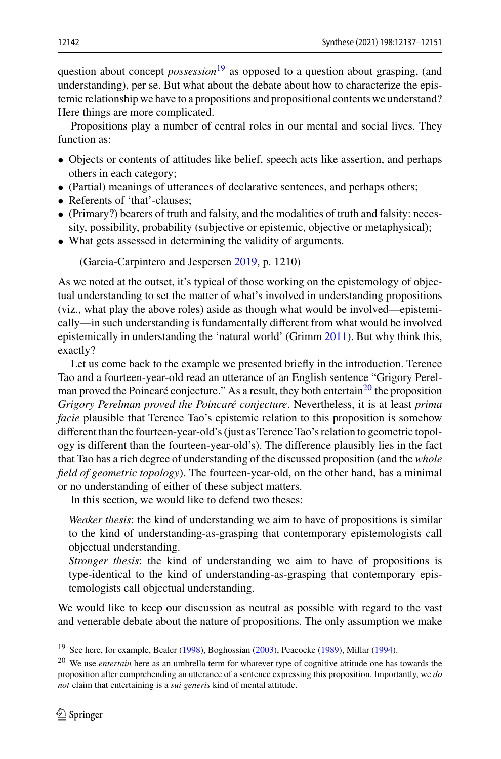question about concept *possession*<sup>[19](#page-5-0)</sup> as opposed to a question about grasping, (and understanding), per se. But what about the debate about how to characterize the epistemic relationship we have to a propositions and propositional contents we understand? Here things are more complicated.

Propositions play a number of central roles in our mental and social lives. They function as:

- Objects or contents of attitudes like belief, speech acts like assertion, and perhaps others in each category;
- (Partial) meanings of utterances of declarative sentences, and perhaps others;
- Referents of 'that'-clauses;
- (Primary?) bearers of truth and falsity, and the modalities of truth and falsity: necessity, possibility, probability (subjective or epistemic, objective or metaphysical);
- What gets assessed in determining the validity of arguments.

(Garcia-Carpintero and Jespersen [2019,](#page-13-14) p. 1210)

As we noted at the outset, it's typical of those working on the epistemology of objectual understanding to set the matter of what's involved in understanding propositions (viz., what play the above roles) aside as though what would be involved—epistemically—in such understanding is fundamentally different from what would be involved epistemically in understanding the 'natural world' (Grimm [2011\)](#page-13-0). But why think this, exactly?

Let us come back to the example we presented briefly in the introduction. Terence Tao and a fourteen-year-old read an utterance of an English sentence "Grigory Perelman proved the Poincaré conjecture." As a result, they both entertain<sup>20</sup> the proposition *Grigory Perelman proved the Poincaré conjecture*. Nevertheless, it is at least *prima facie* plausible that Terence Tao's epistemic relation to this proposition is somehow different than the fourteen-year-old's (just as Terence Tao's relation to geometric topology is different than the fourteen-year-old's). The difference plausibly lies in the fact that Tao has a rich degree of understanding of the discussed proposition (and the *whole field of geometric topology*). The fourteen-year-old, on the other hand, has a minimal or no understanding of either of these subject matters.

In this section, we would like to defend two theses:

*Weaker thesis*: the kind of understanding we aim to have of propositions is similar to the kind of understanding-as-grasping that contemporary epistemologists call objectual understanding.

*Stronger thesis*: the kind of understanding we aim to have of propositions is type-identical to the kind of understanding-as-grasping that contemporary epistemologists call objectual understanding.

We would like to keep our discussion as neutral as possible with regard to the vast and venerable debate about the nature of propositions. The only assumption we make

<span id="page-5-1"></span><span id="page-5-0"></span><sup>&</sup>lt;sup>19</sup> See here, for example, Bealer [\(1998\)](#page-13-15), Boghossian [\(2003\)](#page-13-16), Peacocke [\(1989\)](#page-14-18), Millar [\(1994\)](#page-14-19).

<sup>20</sup> We use *entertain* here as an umbrella term for whatever type of cognitive attitude one has towards the proposition after comprehending an utterance of a sentence expressing this proposition. Importantly, we *do not* claim that entertaining is a *sui generis* kind of mental attitude.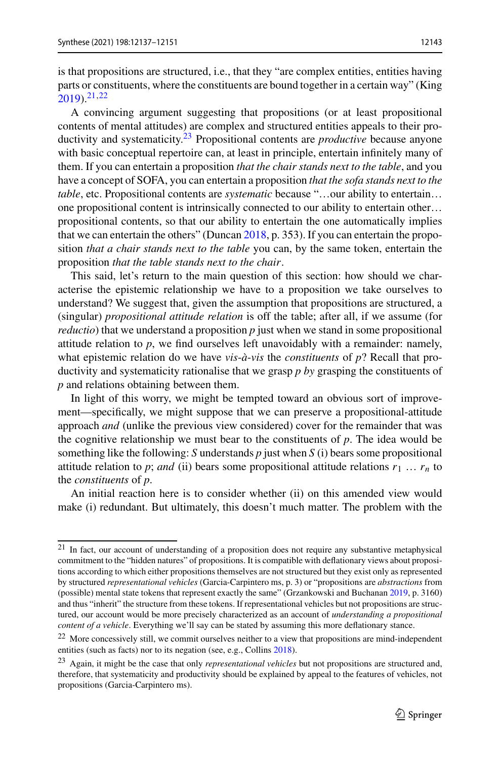is that propositions are structured, i.e., that they "are complex entities, entities having parts or constituents, where the constituents are bound together in a certain way" (King [2019\)](#page-14-20).[21,](#page-6-0)[22](#page-6-1)

A convincing argument suggesting that propositions (or at least propositional contents of mental attitudes) are complex and structured entities appeals to their productivity and systematicity.[23](#page-6-2) Propositional contents are *productive* because anyone with basic conceptual repertoire can, at least in principle, entertain infinitely many of them. If you can entertain a proposition *that the chair stands next to the table*, and you have a concept of SOFA, you can entertain a proposition *that the sofa stands next to the table*, etc. Propositional contents are *systematic* because "…our ability to entertain… one propositional content is intrinsically connected to our ability to entertain other… propositional contents, so that our ability to entertain the one automatically implies that we can entertain the others" (Duncan [2018,](#page-13-17) p. 353). If you can entertain the proposition *that a chair stands next to the table* you can, by the same token, entertain the proposition *that the table stands next to the chair*.

This said, let's return to the main question of this section: how should we characterise the epistemic relationship we have to a proposition we take ourselves to understand? We suggest that, given the assumption that propositions are structured, a (singular) *propositional attitude relation* is off the table; after all, if we assume (for *reductio*) that we understand a proposition *p* just when we stand in some propositional attitude relation to *p*, we find ourselves left unavoidably with a remainder: namely, what epistemic relation do we have *vis*-*à*-*vis* the *constituents* of *p*? Recall that productivity and systematicity rationalise that we grasp *p by* grasping the constituents of *p* and relations obtaining between them.

In light of this worry, we might be tempted toward an obvious sort of improvement—specifically, we might suppose that we can preserve a propositional-attitude approach *and* (unlike the previous view considered) cover for the remainder that was the cognitive relationship we must bear to the constituents of *p*. The idea would be something like the following: *S* understands *p* just when *S* (i) bears some propositional attitude relation to *p*; *and* (ii) bears some propositional attitude relations  $r_1 \ldots r_n$  to the *constituents* of *p*.

An initial reaction here is to consider whether (ii) on this amended view would make (i) redundant. But ultimately, this doesn't much matter. The problem with the

<span id="page-6-0"></span><sup>21</sup> In fact, our account of understanding of a proposition does not require any substantive metaphysical commitment to the "hidden natures" of propositions. It is compatible with deflationary views about propositions according to which either propositions themselves are not structured but they exist only as represented by structured *representational vehicles* (Garcia-Carpintero ms, p. 3) or "propositions are *abstractions* from (possible) mental state tokens that represent exactly the same" (Grzankowski and Buchanan [2019,](#page-13-18) p. 3160) and thus "inherit" the structure from these tokens. If representational vehicles but not propositions are structured, our account would be more precisely characterized as an account of *understanding a propositional content of a vehicle*. Everything we'll say can be stated by assuming this more deflationary stance.

<span id="page-6-2"></span><span id="page-6-1"></span><sup>&</sup>lt;sup>22</sup> More concessively still, we commit ourselves neither to a view that propositions are mind-independent entities (such as facts) nor to its negation (see, e.g., Collins [2018\)](#page-13-19).

<sup>23</sup> Again, it might be the case that only *representational vehicles* but not propositions are structured and, therefore, that systematicity and productivity should be explained by appeal to the features of vehicles, not propositions (Garcia-Carpintero ms).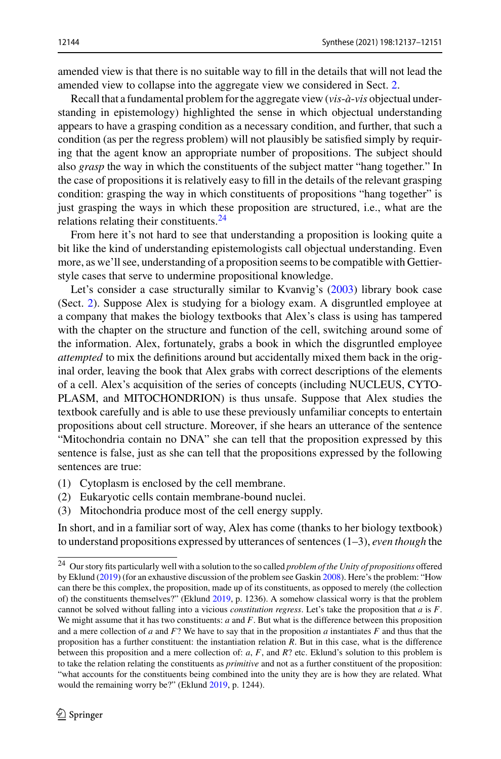amended view is that there is no suitable way to fill in the details that will not lead the amended view to collapse into the aggregate view we considered in Sect. [2.](#page-2-0)

Recall that a fundamental problem for the aggregate view (*vis*-*à*-*vis* objectual understanding in epistemology) highlighted the sense in which objectual understanding appears to have a grasping condition as a necessary condition, and further, that such a condition (as per the regress problem) will not plausibly be satisfied simply by requiring that the agent know an appropriate number of propositions. The subject should also *grasp* the way in which the constituents of the subject matter "hang together." In the case of propositions it is relatively easy to fill in the details of the relevant grasping condition: grasping the way in which constituents of propositions "hang together" is just grasping the ways in which these proposition are structured, i.e., what are the relations relating their constituents.  $24$ 

From here it's not hard to see that understanding a proposition is looking quite a bit like the kind of understanding epistemologists call objectual understanding. Even more, as we'll see, understanding of a proposition seems to be compatible with Gettierstyle cases that serve to undermine propositional knowledge.

Let's consider a case structurally similar to Kvanvig's [\(2003\)](#page-14-3) library book case (Sect. [2\)](#page-2-0). Suppose Alex is studying for a biology exam. A disgruntled employee at a company that makes the biology textbooks that Alex's class is using has tampered with the chapter on the structure and function of the cell, switching around some of the information. Alex, fortunately, grabs a book in which the disgruntled employee *attempted* to mix the definitions around but accidentally mixed them back in the original order, leaving the book that Alex grabs with correct descriptions of the elements of a cell. Alex's acquisition of the series of concepts (including NUCLEUS, CYTO-PLASM, and MITOCHONDRION) is thus unsafe. Suppose that Alex studies the textbook carefully and is able to use these previously unfamiliar concepts to entertain propositions about cell structure. Moreover, if she hears an utterance of the sentence "Mitochondria contain no DNA" she can tell that the proposition expressed by this sentence is false, just as she can tell that the propositions expressed by the following sentences are true:

- (1) Cytoplasm is enclosed by the cell membrane.
- (2) Eukaryotic cells contain membrane-bound nuclei.
- (3) Mitochondria produce most of the cell energy supply.

In short, and in a familiar sort of way, Alex has come (thanks to her biology textbook) to understand propositions expressed by utterances of sentences (1–3), *even though* the

<span id="page-7-0"></span><sup>24</sup> Our story fits particularly well with a solution to the so called *problem of the Unity of propositions* offered by Eklund [\(2019\)](#page-13-20) (for an exhaustive discussion of the problem see Gaskin [2008\)](#page-13-21). Here's the problem: "How can there be this complex, the proposition, made up of its constituents, as opposed to merely (the collection of) the constituents themselves?" (Eklund [2019,](#page-13-20) p. 1236). A somehow classical worry is that the problem cannot be solved without falling into a vicious *constitution regress*. Let's take the proposition that *a* is *F*. We might assume that it has two constituents: *a* and *F*. But what is the difference between this proposition and a mere collection of *a* and *F*? We have to say that in the proposition *a* instantiates *F* and thus that the proposition has a further constituent: the instantiation relation *R*. But in this case, what is the difference between this proposition and a mere collection of: *a*, *F*, and *R*? etc. Eklund's solution to this problem is to take the relation relating the constituents as *primitive* and not as a further constituent of the proposition: "what accounts for the constituents being combined into the unity they are is how they are related. What would the remaining worry be?" (Eklund [2019,](#page-13-20) p. 1244).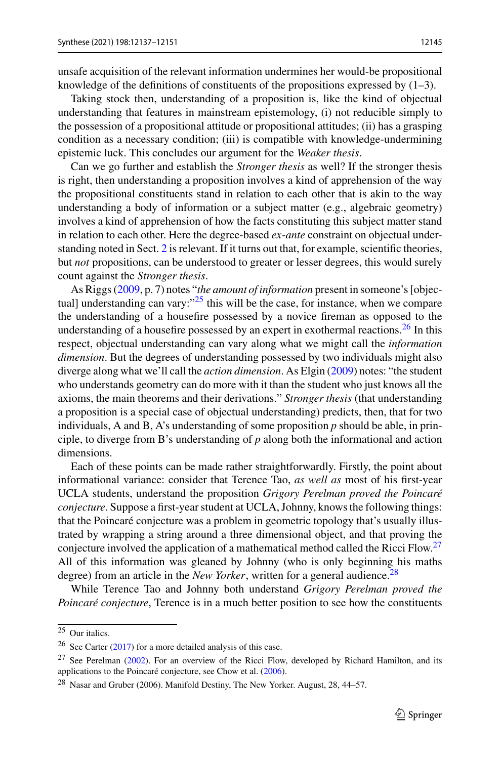unsafe acquisition of the relevant information undermines her would-be propositional knowledge of the definitions of constituents of the propositions expressed by  $(1-3)$ .

Taking stock then, understanding of a proposition is, like the kind of objectual understanding that features in mainstream epistemology, (i) not reducible simply to the possession of a propositional attitude or propositional attitudes; (ii) has a grasping condition as a necessary condition; (iii) is compatible with knowledge-undermining epistemic luck. This concludes our argument for the *Weaker thesis*.

Can we go further and establish the *Stronger thesis* as well? If the stronger thesis is right, then understanding a proposition involves a kind of apprehension of the way the propositional constituents stand in relation to each other that is akin to the way understanding a body of information or a subject matter (e.g., algebraic geometry) involves a kind of apprehension of how the facts constituting this subject matter stand in relation to each other. Here the degree-based *ex*-*ante* constraint on objectual understanding noted in Sect. [2](#page-2-0) is relevant. If it turns out that, for example, scientific theories, but *not* propositions, can be understood to greater or lesser degrees, this would surely count against the *Stronger thesis*.

As Riggs [\(2009,](#page-14-6) p. 7) notes "*the amount of information* present in someone's [objectual] understanding can vary: $^{25}$  $^{25}$  $^{25}$  this will be the case, for instance, when we compare the understanding of a housefire possessed by a novice fireman as opposed to the understanding of a housefire possessed by an expert in exothermal reactions.<sup>[26](#page-8-1)</sup> In this respect, objectual understanding can vary along what we might call the *information dimension*. But the degrees of understanding possessed by two individuals might also diverge along what we'll call the *action dimension*. As Elgin [\(2009\)](#page-13-1) notes: "the student who understands geometry can do more with it than the student who just knows all the axioms, the main theorems and their derivations." *Stronger thesis* (that understanding a proposition is a special case of objectual understanding) predicts, then, that for two individuals, A and B, A's understanding of some proposition  $p$  should be able, in principle, to diverge from B's understanding of *p* along both the informational and action dimensions.

Each of these points can be made rather straightforwardly. Firstly, the point about informational variance: consider that Terence Tao, *as well as* most of his first-year UCLA students, understand the proposition *Grigory Perelman proved the Poincaré conjecture*. Suppose a first-year student at UCLA, Johnny, knows the following things: that the Poincaré conjecture was a problem in geometric topology that's usually illustrated by wrapping a string around a three dimensional object, and that proving the conjecture involved the application of a mathematical method called the Ricci Flow.<sup>[27](#page-8-2)</sup> All of this information was gleaned by Johnny (who is only beginning his maths degree) from an article in the *New Yorker*, written for a general audience.<sup>28</sup>

While Terence Tao and Johnny both understand *Grigory Perelman proved the Poincaré conjecture*, Terence is in a much better position to see how the constituents

<span id="page-8-1"></span><span id="page-8-0"></span><sup>25</sup> Our italics.

<span id="page-8-2"></span><sup>&</sup>lt;sup>26</sup> See Carter [\(2017\)](#page-13-22) for a more detailed analysis of this case.

<span id="page-8-3"></span> $27$  See Perelman [\(2002\)](#page-14-21). For an overview of the Ricci Flow, developed by Richard Hamilton, and its applications to the Poincaré conjecture, see Chow et al. [\(2006\)](#page-13-23).

<sup>28</sup> Nasar and Gruber (2006). Manifold Destiny, The New Yorker. August, 28, 44–57.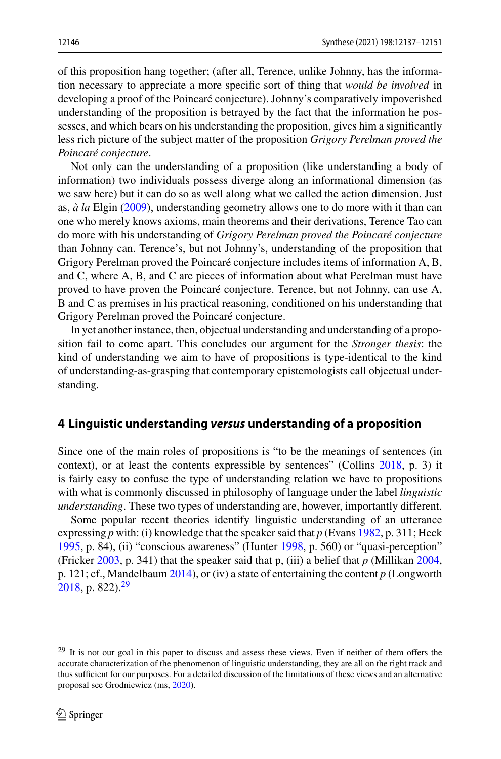of this proposition hang together; (after all, Terence, unlike Johnny, has the information necessary to appreciate a more specific sort of thing that *would be involved* in developing a proof of the Poincaré conjecture). Johnny's comparatively impoverished understanding of the proposition is betrayed by the fact that the information he possesses, and which bears on his understanding the proposition, gives him a significantly less rich picture of the subject matter of the proposition *Grigory Perelman proved the Poincaré conjecture*.

Not only can the understanding of a proposition (like understanding a body of information) two individuals possess diverge along an informational dimension (as we saw here) but it can do so as well along what we called the action dimension. Just as, *à la* Elgin [\(2009\)](#page-13-1), understanding geometry allows one to do more with it than can one who merely knows axioms, main theorems and their derivations, Terence Tao can do more with his understanding of *Grigory Perelman proved the Poincaré conjecture* than Johnny can. Terence's, but not Johnny's, understanding of the proposition that Grigory Perelman proved the Poincaré conjecture includes items of information A, B, and C, where A, B, and C are pieces of information about what Perelman must have proved to have proven the Poincaré conjecture. Terence, but not Johnny, can use A, B and C as premises in his practical reasoning, conditioned on his understanding that Grigory Perelman proved the Poincaré conjecture.

In yet another instance, then, objectual understanding and understanding of a proposition fail to come apart. This concludes our argument for the *Stronger thesis*: the kind of understanding we aim to have of propositions is type-identical to the kind of understanding-as-grasping that contemporary epistemologists call objectual understanding.

#### <span id="page-9-0"></span>**4 Linguistic understanding** *versus* **understanding of a proposition**

Since one of the main roles of propositions is "to be the meanings of sentences (in context), or at least the contents expressible by sentences" (Collins [2018,](#page-13-19) p. 3) it is fairly easy to confuse the type of understanding relation we have to propositions with what is commonly discussed in philosophy of language under the label *linguistic understanding*. These two types of understanding are, however, importantly different.

Some popular recent theories identify linguistic understanding of an utterance expressing *p* with: (i) knowledge that the speaker said that *p* (Evans [1982,](#page-13-24) p. 311; Heck [1995,](#page-13-25) p. 84), (ii) "conscious awareness" (Hunter [1998,](#page-14-22) p. 560) or "quasi-perception" (Fricker [2003,](#page-13-26) p. 341) that the speaker said that p, (iii) a belief that *p* (Millikan [2004,](#page-14-23) p. 121; cf., Mandelbaum [2014\)](#page-14-24), or (iv) a state of entertaining the content *p* (Longworth [2018,](#page-14-25) p. 822).<sup>29</sup>

<span id="page-9-1"></span><sup>&</sup>lt;sup>29</sup> It is not our goal in this paper to discuss and assess these views. Even if neither of them offers the accurate characterization of the phenomenon of linguistic understanding, they are all on the right track and thus sufficient for our purposes. For a detailed discussion of the limitations of these views and an alternative proposal see Grodniewicz (ms, [2020\)](#page-13-27).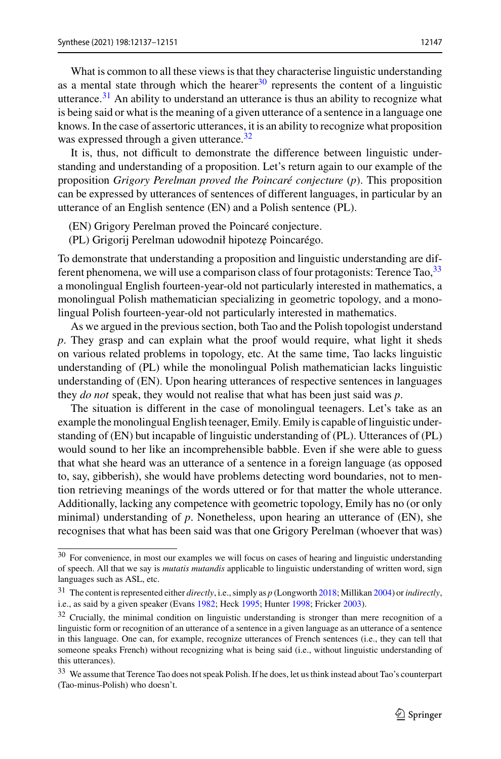What is common to all these views is that they characterise linguistic understanding as a mental state through which the hearer<sup>[30](#page-10-0)</sup> represents the content of a linguistic utterance. $31$  An ability to understand an utterance is thus an ability to recognize what is being said or what is the meaning of a given utterance of a sentence in a language one knows. In the case of assertoric utterances, it is an ability to recognize what proposition was expressed through a given utterance.<sup>[32](#page-10-2)</sup>

It is, thus, not difficult to demonstrate the difference between linguistic understanding and understanding of a proposition. Let's return again to our example of the proposition *Grigory Perelman proved the Poincaré conjecture* (*p*). This proposition can be expressed by utterances of sentences of different languages, in particular by an utterance of an English sentence (EN) and a Polish sentence (PL).

- (EN) Grigory Perelman proved the Poincaré conjecture.
- (PL) Grigorij Perelman udowodnił hipotezę Poincarégo.

To demonstrate that understanding a proposition and linguistic understanding are different phenomena, we will use a comparison class of four protagonists: Terence Tao,  $33$ a monolingual English fourteen-year-old not particularly interested in mathematics, a monolingual Polish mathematician specializing in geometric topology, and a monolingual Polish fourteen-year-old not particularly interested in mathematics.

As we argued in the previous section, both Tao and the Polish topologist understand *p*. They grasp and can explain what the proof would require, what light it sheds on various related problems in topology, etc. At the same time, Tao lacks linguistic understanding of (PL) while the monolingual Polish mathematician lacks linguistic understanding of (EN). Upon hearing utterances of respective sentences in languages they *do not* speak, they would not realise that what has been just said was *p*.

The situation is different in the case of monolingual teenagers. Let's take as an example the monolingual English teenager, Emily. Emily is capable of linguistic understanding of (EN) but incapable of linguistic understanding of (PL). Utterances of (PL) would sound to her like an incomprehensible babble. Even if she were able to guess that what she heard was an utterance of a sentence in a foreign language (as opposed to, say, gibberish), she would have problems detecting word boundaries, not to mention retrieving meanings of the words uttered or for that matter the whole utterance. Additionally, lacking any competence with geometric topology, Emily has no (or only minimal) understanding of *p*. Nonetheless, upon hearing an utterance of (EN), she recognises that what has been said was that one Grigory Perelman (whoever that was)

<span id="page-10-0"></span><sup>30</sup> For convenience, in most our examples we will focus on cases of hearing and linguistic understanding of speech. All that we say is *mutatis mutandis* applicable to linguistic understanding of written word, sign languages such as ASL, etc.

<span id="page-10-2"></span><span id="page-10-1"></span><sup>31</sup> The content is represented either *directly*, i.e., simply as *p* (Longworth [2018;](#page-14-25) Millikan [2004\)](#page-14-23) or*indirectly*, i.e., as said by a given speaker (Evans [1982;](#page-13-24) Heck [1995;](#page-13-25) Hunter [1998;](#page-14-22) Fricker [2003\)](#page-13-26).

<sup>&</sup>lt;sup>32</sup> Crucially, the minimal condition on linguistic understanding is stronger than mere recognition of a linguistic form or recognition of an utterance of a sentence in a given language as an utterance of a sentence in this language. One can, for example, recognize utterances of French sentences (i.e., they can tell that someone speaks French) without recognizing what is being said (i.e., without linguistic understanding of this utterances).

<span id="page-10-3"></span><sup>33</sup> We assume that Terence Tao does not speak Polish. If he does, let us think instead about Tao's counterpart (Tao-minus-Polish) who doesn't.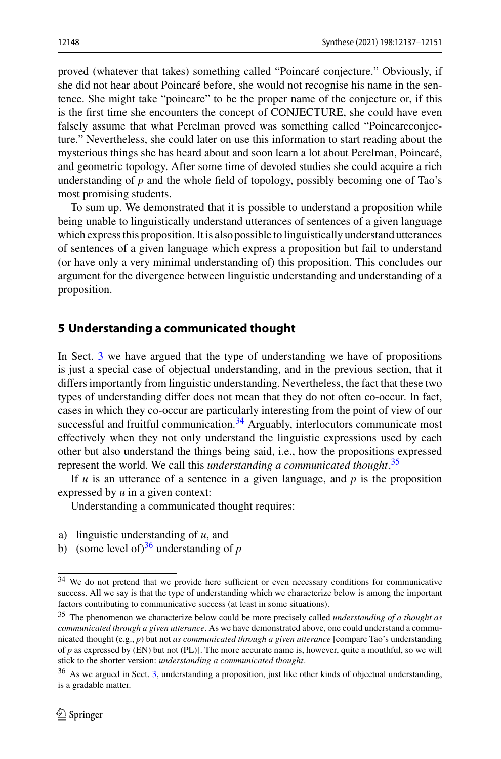proved (whatever that takes) something called "Poincaré conjecture." Obviously, if she did not hear about Poincaré before, she would not recognise his name in the sentence. She might take "poincare" to be the proper name of the conjecture or, if this is the first time she encounters the concept of CONJECTURE, she could have even falsely assume that what Perelman proved was something called "Poincareconjecture." Nevertheless, she could later on use this information to start reading about the mysterious things she has heard about and soon learn a lot about Perelman, Poincaré, and geometric topology. After some time of devoted studies she could acquire a rich understanding of *p* and the whole field of topology, possibly becoming one of Tao's most promising students.

To sum up. We demonstrated that it is possible to understand a proposition while being unable to linguistically understand utterances of sentences of a given language which express this proposition. It is also possible to linguistically understand utterances of sentences of a given language which express a proposition but fail to understand (or have only a very minimal understanding of) this proposition. This concludes our argument for the divergence between linguistic understanding and understanding of a proposition.

#### <span id="page-11-0"></span>**5 Understanding a communicated thought**

In Sect. [3](#page-4-0) we have argued that the type of understanding we have of propositions is just a special case of objectual understanding, and in the previous section, that it differs importantly from linguistic understanding. Nevertheless, the fact that these two types of understanding differ does not mean that they do not often co-occur. In fact, cases in which they co-occur are particularly interesting from the point of view of our successful and fruitful communication. $34$  Arguably, interlocutors communicate most effectively when they not only understand the linguistic expressions used by each other but also understand the things being said, i.e., how the propositions expressed represent the world. We call this *understanding a communicated thought*. [35](#page-11-2)

If  $u$  is an utterance of a sentence in a given language, and  $p$  is the proposition expressed by *u* in a given context:

Understanding a communicated thought requires:

- a) linguistic understanding of *u*, and
- b) (some level of)<sup>[36](#page-11-3)</sup> understanding of *p*

<span id="page-11-1"></span><sup>&</sup>lt;sup>34</sup> We do not pretend that we provide here sufficient or even necessary conditions for communicative success. All we say is that the type of understanding which we characterize below is among the important factors contributing to communicative success (at least in some situations).

<span id="page-11-2"></span><sup>35</sup> The phenomenon we characterize below could be more precisely called *understanding of a thought as communicated through a given utterance*. As we have demonstrated above, one could understand a communicated thought (e.g., *p*) but not *as communicated through a given utterance* [compare Tao's understanding of *p* as expressed by (EN) but not (PL)]. The more accurate name is, however, quite a mouthful, so we will stick to the shorter version: *understanding a communicated thought*.

<span id="page-11-3"></span><sup>36</sup> As we argued in Sect. [3,](#page-4-0) understanding a proposition, just like other kinds of objectual understanding, is a gradable matter.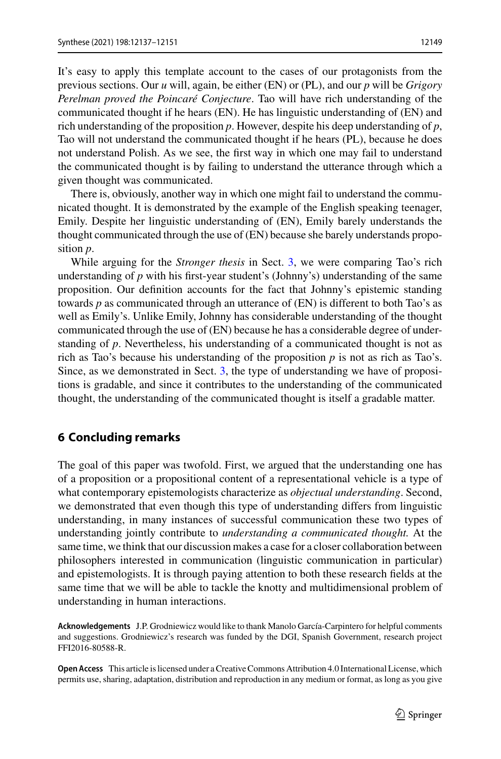It's easy to apply this template account to the cases of our protagonists from the previous sections. Our *u* will, again, be either (EN) or (PL), and our *p* will be *Grigory Perelman proved the Poincaré Conjecture*. Tao will have rich understanding of the communicated thought if he hears (EN). He has linguistic understanding of (EN) and rich understanding of the proposition *p*. However, despite his deep understanding of *p*, Tao will not understand the communicated thought if he hears (PL), because he does not understand Polish. As we see, the first way in which one may fail to understand the communicated thought is by failing to understand the utterance through which a given thought was communicated.

There is, obviously, another way in which one might fail to understand the communicated thought. It is demonstrated by the example of the English speaking teenager, Emily. Despite her linguistic understanding of (EN), Emily barely understands the thought communicated through the use of (EN) because she barely understands proposition *p*.

While arguing for the *Stronger thesis* in Sect. [3,](#page-4-0) we were comparing Tao's rich understanding of  $p$  with his first-year student's (Johnny's) understanding of the same proposition. Our definition accounts for the fact that Johnny's epistemic standing towards *p* as communicated through an utterance of (EN) is different to both Tao's as well as Emily's. Unlike Emily, Johnny has considerable understanding of the thought communicated through the use of (EN) because he has a considerable degree of understanding of *p*. Nevertheless, his understanding of a communicated thought is not as rich as Tao's because his understanding of the proposition *p* is not as rich as Tao's. Since, as we demonstrated in Sect. [3,](#page-4-0) the type of understanding we have of propositions is gradable, and since it contributes to the understanding of the communicated thought, the understanding of the communicated thought is itself a gradable matter.

## **6 Concluding remarks**

The goal of this paper was twofold. First, we argued that the understanding one has of a proposition or a propositional content of a representational vehicle is a type of what contemporary epistemologists characterize as *objectual understanding*. Second, we demonstrated that even though this type of understanding differs from linguistic understanding, in many instances of successful communication these two types of understanding jointly contribute to *understanding a communicated thought.* At the same time, we think that our discussion makes a case for a closer collaboration between philosophers interested in communication (linguistic communication in particular) and epistemologists. It is through paying attention to both these research fields at the same time that we will be able to tackle the knotty and multidimensional problem of understanding in human interactions.

**Acknowledgements** J.P. Grodniewicz would like to thank Manolo García-Carpintero for helpful comments and suggestions. Grodniewicz's research was funded by the DGI, Spanish Government, research project FFI2016-80588-R.

**Open Access** This article is licensed under a Creative Commons Attribution 4.0 International License, which permits use, sharing, adaptation, distribution and reproduction in any medium or format, as long as you give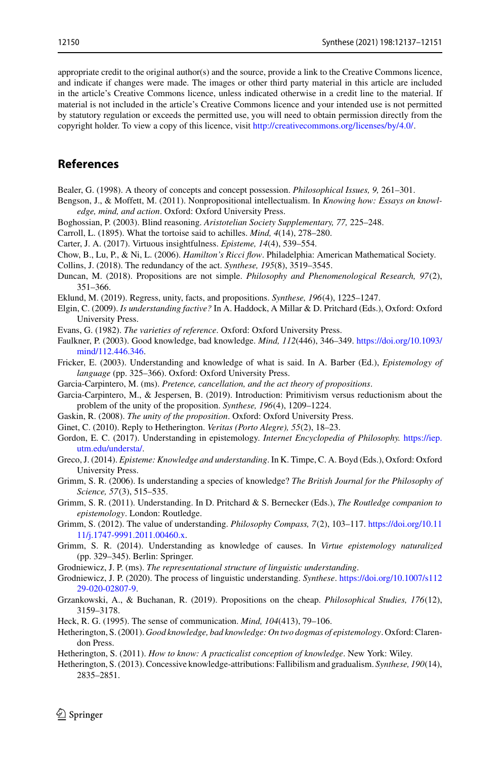appropriate credit to the original author(s) and the source, provide a link to the Creative Commons licence, and indicate if changes were made. The images or other third party material in this article are included in the article's Creative Commons licence, unless indicated otherwise in a credit line to the material. If material is not included in the article's Creative Commons licence and your intended use is not permitted by statutory regulation or exceeds the permitted use, you will need to obtain permission directly from the copyright holder. To view a copy of this licence, visit [http://creativecommons.org/licenses/by/4.0/.](http://creativecommons.org/licenses/by/4.0/)

# **References**

- <span id="page-13-15"></span>Bealer, G. (1998). A theory of concepts and concept possession. *Philosophical Issues, 9,* 261–301.
- <span id="page-13-3"></span>Bengson, J., & Moffett, M. (2011). Nonpropositional intellectualism. In *Knowing how: Essays on knowledge, mind, and action*. Oxford: Oxford University Press.
- <span id="page-13-16"></span>Boghossian, P. (2003). Blind reasoning. *Aristotelian Society Supplementary, 77,* 225–248.
- <span id="page-13-5"></span>Carroll, L. (1895). What the tortoise said to achilles. *Mind, 4*(14), 278–280.
- <span id="page-13-22"></span>Carter, J. A. (2017). Virtuous insightfulness. *Episteme, 14*(4), 539–554.
- <span id="page-13-23"></span>Chow, B., Lu, P., & Ni, L. (2006). *Hamilton's Ricci flow*. Philadelphia: American Mathematical Society.
- <span id="page-13-19"></span>Collins, J. (2018). The redundancy of the act. *Synthese, 195*(8), 3519–3545.
- <span id="page-13-17"></span>Duncan, M. (2018). Propositions are not simple. *Philosophy and Phenomenological Research, 97*(2), 351–366.
- <span id="page-13-20"></span>Eklund, M. (2019). Regress, unity, facts, and propositions. *Synthese, 196*(4), 1225–1247.
- <span id="page-13-1"></span>Elgin, C. (2009). *Is understanding factive?* In A. Haddock, A Millar & D. Pritchard (Eds.), Oxford: Oxford University Press.
- <span id="page-13-24"></span>Evans, G. (1982). *The varieties of reference*. Oxford: Oxford University Press.
- <span id="page-13-11"></span>Faul[kner, P. \(2003\). Good knowledge, bad knowledge.](https://doi.org/10.1093/mind/112.446.346) *Mind, 112*(446), 346–349. https://doi.org/10.1093/ mind/112.446.346.
- <span id="page-13-26"></span>Fricker, E. (2003). Understanding and knowledge of what is said. In A. Barber (Ed.), *Epistemology of language* (pp. 325–366). Oxford: Oxford University Press.
- Garcia-Carpintero, M. (ms). *Pretence, cancellation, and the act theory of propositions*.
- <span id="page-13-14"></span>Garcia-Carpintero, M., & Jespersen, B. (2019). Introduction: Primitivism versus reductionism about the problem of the unity of the proposition. *Synthese, 196*(4), 1209–1224.
- <span id="page-13-21"></span>Gaskin, R. (2008). *The unity of the proposition*. Oxford: Oxford University Press.
- <span id="page-13-10"></span>Ginet, C. (2010). Reply to Hetherington. *Veritas (Porto Alegre), 55*(2), 18–23.
- <span id="page-13-13"></span>Gor[don, E. C. \(2017\). Understanding in epistemology.](https://iep.utm.edu/understa/) *Internet Encyclopedia of Philosophy.* https://iep. utm.edu/understa/.
- <span id="page-13-2"></span>Greco, J. (2014). *Episteme: Knowledge and understanding*. In K. Timpe, C. A. Boyd (Eds.), Oxford: Oxford University Press.
- <span id="page-13-6"></span>Grimm, S. R. (2006). Is understanding a species of knowledge? *The British Journal for the Philosophy of Science, 57*(3), 515–535.
- <span id="page-13-0"></span>Grimm, S. R. (2011). Understanding. In D. Pritchard & S. Bernecker (Eds.), *The Routledge companion to epistemology*. London: Routledge.
- <span id="page-13-4"></span>Gri[mm, S. \(2012\). The value of understanding.](https://doi.org/10.1111/j.1747-9991.2011.00460.x) *Philosophy Compass, 7*(2), 103–117. https://doi.org/10.11 11/j.1747-9991.2011.00460.x.
- <span id="page-13-12"></span>Grimm, S. R. (2014). Understanding as knowledge of causes. In *Virtue epistemology naturalized* (pp. 329–345). Berlin: Springer.
- Grodniewicz, J. P. (ms). *The representational structure of linguistic understanding*.
- <span id="page-13-27"></span>Gro[dniewicz, J. P. \(2020\). The process of linguistic understanding.](https://doi.org/10.1007/s11229-020-02807-9) *Synthese*. https://doi.org/10.1007/s112 29-020-02807-9.
- <span id="page-13-18"></span>Grzankowski, A., & Buchanan, R. (2019). Propositions on the cheap. *Philosophical Studies, 176*(12), 3159–3178.
- <span id="page-13-25"></span>Heck, R. G. (1995). The sense of communication. *Mind, 104*(413), 79–106.
- <span id="page-13-7"></span>Hetherington, S. (2001). *Good knowledge, bad knowledge: On two dogmas of epistemology*. Oxford: Clarendon Press.
- <span id="page-13-8"></span>Hetherington, S. (2011). *How to know: A practicalist conception of knowledge*. New York: Wiley.
- <span id="page-13-9"></span>Hetherington, S. (2013). Concessive knowledge-attributions: Fallibilism and gradualism. *Synthese, 190*(14), 2835–2851.